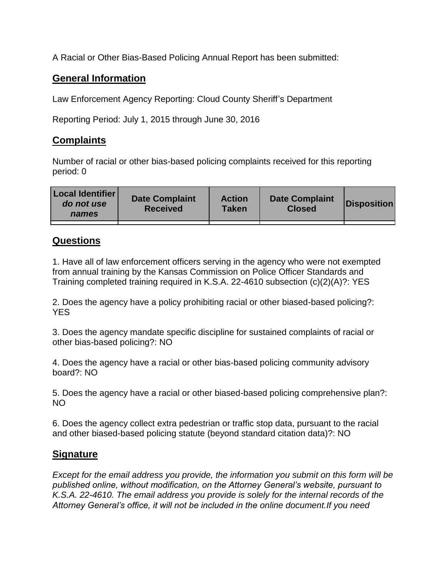A Racial or Other Bias-Based Policing Annual Report has been submitted:

## **General Information**

Law Enforcement Agency Reporting: Cloud County Sheriff's Department

Reporting Period: July 1, 2015 through June 30, 2016

## **Complaints**

Number of racial or other bias-based policing complaints received for this reporting period: 0

| <b>Local Identifier</b><br>do not use<br>names | <b>Date Complaint</b><br><b>Received</b> | <b>Action</b><br><b>Taken</b> | <b>Date Complaint</b><br><b>Closed</b> | Disposition |
|------------------------------------------------|------------------------------------------|-------------------------------|----------------------------------------|-------------|
|                                                |                                          |                               |                                        |             |

## **Questions**

1. Have all of law enforcement officers serving in the agency who were not exempted from annual training by the Kansas Commission on Police Officer Standards and Training completed training required in K.S.A. 22-4610 subsection (c)(2)(A)?: YES

2. Does the agency have a policy prohibiting racial or other biased-based policing?: YES

3. Does the agency mandate specific discipline for sustained complaints of racial or other bias-based policing?: NO

4. Does the agency have a racial or other bias-based policing community advisory board?: NO

5. Does the agency have a racial or other biased-based policing comprehensive plan?: NO

6. Does the agency collect extra pedestrian or traffic stop data, pursuant to the racial and other biased-based policing statute (beyond standard citation data)?: NO

## **Signature**

*Except for the email address you provide, the information you submit on this form will be published online, without modification, on the Attorney General's website, pursuant to K.S.A. 22-4610. The email address you provide is solely for the internal records of the Attorney General's office, it will not be included in the online document.If you need*